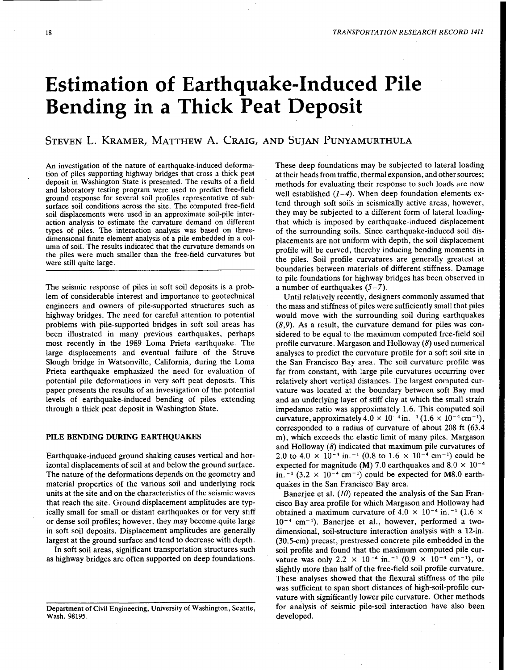# Estimation of Earthquake-Induced Pile Bending in a Thick Peat Deposit

## STEVEN L. KRAMER, MATTHEW A. CRAIG, AND SUJAN PUNYAMURTHULA

An investigation of the nature of earthquake-induced deformation of piles supporting highway bridges that cross a thick peat deposit in Washington State is presented. The results of a field and laboratory testing program were used to predict free-field ground response for several soil profiles representative of subsurface soil conditions across the site. The computed free-field soil displacements were used in an approximate soil-pile interaction analysis to estimate the curvature demand on different types of piles. The interaction analysis was based on threedimensional finite element analysis of a pile embedded in a column of soil. The results indicated that the curvature demands on the piles were much smaller than the free-field curvatures but were still quite large.

The seismic response of piles in soft soil deposits is a problem of considerable interest and importance to geotechnical engineers and owners of pile-supported structures such as highway bridges. The need for careful attention to potential problems with pile-supported bridges in soft soil areas has been illustrated in many previous earthquakes, perhaps most recently in the 1989 Loma Prieta earthquake. The large displacements and eventual failure of the Struve Slough bridge in Watsonville, California, during the Loma Prieta earthquake emphasized the need for evaluation of potential pile deformations in very soft peat deposits. This paper presents the results of an investigation of the potential levels of earthquake-induced bending of piles extending through a thick peat deposit in Washington State.

#### PILE BENDING DURING EARTHQUAKES

Earthquake-induced ground shaking causes vertical and horizontal displacements of soil at and below the ground surface. The nature of the deformations depends on the geometry and material properties of the various soil and underlying rock units at the site and on the characteristics of the seismic waves that reach the site. Ground displacement amplitudes are typically small for small or distant earthquakes or for very stiff or dense soil profiles; however, they may become quite large in soft soil deposits. Displacement amplitudes are generally largest at the ground surface and tend to decrease with depth.

In soft soil areas, significant transportation structures such as highway bridges are often supported on deep foundations.

These deep foundations may be subjected to lateral loading at their heads from traffic, thermal expansion, and other sources; methods for evaluating their response to such loads are now well established *(1-4).* When deep foundation elements extend through soft soils in seismically active areas, however, they may be subjected to a different form of lateral loadingthat which is imposed by earthquake-induced displacement of the surrounding soils. Since earthquake-induced soil displacements are not uniform with depth, the soil displacement profile will be curved, thereby inducing bending moments in the piles. Soil profile curvatures are generally greatest at boundaries between materials of different stiffness. Damage to pile foundations for highway bridges has been observed in a number of earthquakes  $(5-7)$ .

Until relatively recently, designers commonly assumed that the mass and stiffness of piles were sufficiently small that piles would move with the surrounding soil during earthquakes (8,9). As a result, the curvature demand for piles was considered to be equal to the maximum computed free-field soil profile curvature. Margason and Holloway (8) used numerical analyses to predict the curvature profile for a soft soil site in the San Francisco Bay area. The soil curvature profile was far from constant, with large pile curvatures occurring over relatively short vertical distances. The largest computed curvature was located at the boundary between soft Bay mud and an underlying layer of stiff clay at which the small strain impedance ratio was approximately 1.6. This computed soil curvature, approximately  $4.0 \times 10^{-4}$  in.  $^{-1}$   $(1.6 \times 10^{-4}$  cm<sup>-1</sup>), corresponded to a radius of curvature of about 208 ft (63.4 m), which exceeds the elastic limit of many piles. Margason and Holloway  $(8)$  indicated that maximum pile curvatures of 2.0 to 4.0  $\times$  10<sup>-4</sup> in.<sup>-1</sup> (0.8 to 1.6  $\times$  10<sup>-4</sup> cm<sup>-1</sup>) could be expected for magnitude (M) 7.0 earthquakes and 8.0  $\times$  10<sup>-4</sup> in.<sup>-1</sup> (3.2 × 10<sup>-4</sup> cm<sup>-1</sup>) could be expected for M8.0 earthquakes in the San Francisco Bay area.

Banerjee et al. *(JO)* repeated the analysis of the San Francisco Bay area profile for which Margason and Holloway had obtained a maximum curvature of  $4.0 \times 10^{-4}$  in.<sup>-1</sup> (1.6  $\times$  $10^{-4}$  cm<sup>-1</sup>). Banerjee et al., however, performed a twodimensional, soil~structure interaction analysis with a 12-in. (30.5-cm) precast, prestressed concrete pile embedded in the soil profile and found that the maximum computed pile curvature was only 2.2  $\times$  10<sup>-4</sup> in.<sup>-1</sup> (0.9  $\times$  10<sup>-4</sup> cm<sup>-1</sup>), or slightly more than half of the free-field soil profile curvature. These analyses showed that the flexural stiffness of the pile was sufficient to span short distances of high-soil-profile curvature with significantly lower pile curvature. Other methods for analysis of seismic pile-soil interaction have also been developed.

Department of Civil Engineering, University of Washington, Seattle, Wash. 98195.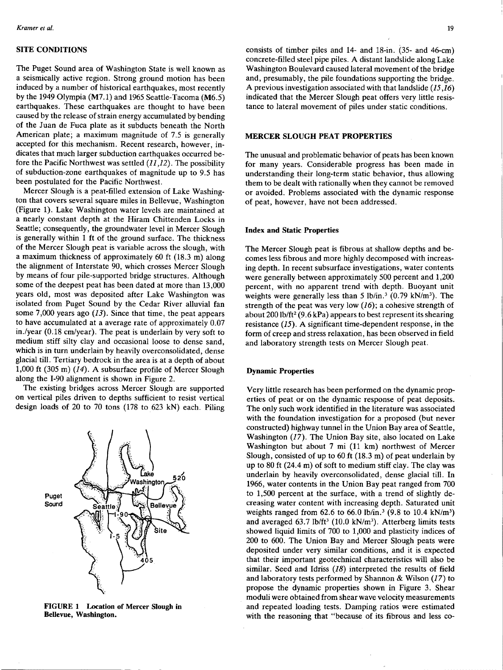## SITE CONDITIONS

The Puget Sound area of Washington State is well known as a seismically active region. Strong ground motion has been induced by a number of historical earthquakes, most recently by the 1949 Olympia (M7.l) and 1965 Seattle-Tacoma (M6.5) earthquakes. These earthquakes are thought to have been caused by the release of strain energy accumulated by bending of the Juan de Fuca plate as it subducts beneath the North American plate; a maximum magnitude of 7.5 is generally accepted for this mechanism. Recent research, however, indicates that much larger subduction earthquakes occurred before the Pacific Northwest was settled  $(11,12)$ . The possibility of subduction-zone earthquakes of magnitude up to 9.5 has been postulated for the Pacific Northwest.

Mercer Slough is a peat-filled extension of Lake Washington that covers several square miles in Bellevue, Washington (Figure 1). Lake Washington water levels are maintained at a nearly constant depth at the Hiram Chittenden Locks in Seattle; consequently, the groundwater level in Mercer Slough is generally within 1 ft of the ground surface. The thickness of the Mercer Slough peat is variable across the slough, with a maximum thickness of approximately 60 ft (18.3 m) along the alignment of Interstate 90, which crosses Mercer Slough by means of four pile-supported bridge structures. Although some of the deepest peat has been dated at more than 13,000 years old, most was deposited after Lake Washington was isolated from Puget Sound by the Cedar River alluvial fan some 7,000 years ago  $(13)$ . Since that time, the peat appears to have accumulated at a average rate of approximately 0.07 in./year (0.18 cm/year). The peat is underlain by very soft to medium stiff silty clay and occasional loose to dense sand, which is in turn underlain by heavily overconsolidated, dense glacial till. Tertiary bedrock in the area is at a depth of about 1,000 ft (305 m) *(14).* A subsurface profile of Mercer Slough along the I-90 alignment is shown in Figure 2.

The existing bridges across Mercer Slough are supported on vertical piles driven to depths sufficient to resist vertical design loads of 20 to 70 tons (178 to 623 kN) each. Piling



FIGURE 1 Location of Mercer Slough in Bellevue, Washington.

consists of timber piles and 14- and 18-in. (35- and 46-cm) concrete-filled steel pipe piles. A distant landslide along Lake Washington Boulevard caused lateral movement of the bridge and, presumably, the pile foundations supporting the bridge. A previous investigation associated with that landslide *(15,16)*  indicated that the Mercer Slough peat offers very little resistance to lateral movement of piles under static conditions.

#### MERCER SLOUGH PEAT PROPERTIES

The unusual and problematic behavior of peats has been known for many years. Considerable progress has been made in understanding their long-term static behavior, thus allowing them to be dealt with rationally when they cannot be removed or avoided. Problems associated with the dynamic response of peat, however, have not been addressed.

### Index and Static Properties

The Mercer Slough peat is fibrous at shallow depths and becomes less fibrous and more highly decomposed with increasing depth. In recent subsurface investigations, water contents were generally between approximately  $500$  percent and  $1,200$ percent, with no apparent trend with depth. Buoyant unit weights were generally less than 5 lb/in.<sup>3</sup> (0.79 kN/m<sup>3</sup>). The strength of the peat was very low  $(16)$ ; a cohesive strength of about 200 lb/ft<sup>2</sup> (9.6 kPa) appears to best represent its shearing resistance *(15).* A significant time-dependent response, in the form of creep and stress relaxation, has been observed in field and laboratory strength tests on Mercer Slough peat.

## Dynamic Properties

Very little research has been performed on the dynamic properties of peat or on the dynamic response of peat deposits. The only such work identified in the literature was associated with the foundation investigation for a proposed (but never constructed) highway tunnel in the Union Bay area of Seattle, Washington (17). The Union Bay site, also located on Lake Washington but about 7 mi (11 km) northwest of Mercer Slough, consisted of up to 60 ft (18.3 m) of peat underlain by up to 80 ft (24.4 m) of soft to medium stiff clay. The clay was underlain by heavily overconsolidated, dense glacial till. In 1966, water contents in the Union Bay peat ranged from 700 to 1,500 percent at the surface, with a trend of slightly decreasing water content with increasing depth. Saturated unit weights ranged from  $62.6$  to  $66.0$  lb/in.<sup>3</sup> (9.8 to 10.4 kN/m<sup>3</sup>) and averaged 63.7 lb/ft<sup>3</sup> (10.0 kN/m<sup>3</sup>). Atterberg limits tests showed liquid limits of 700 to 1,000 and plasticity indices of 200 to 600. The Union Bay and Mercer Slough peats were deposited under very similar conditions, and it is expected that their important geotechnical characteristics will also be similar. Seed and Idriss *(18)* interpreted the results of field and laboratory tests performed by Shannon & Wilson  $(17)$  to propose the dynamic properties shown in Figure 3. Shear moduli were obtained from shear wave velocity measurements and repeated loading tests. Damping ratios were estimated with the reasoning that "because of its fibrous and less co-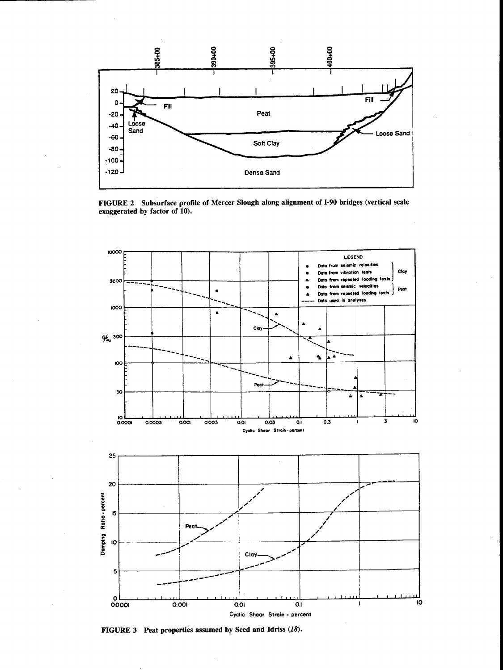

FIGURE 2 Subsurface profile of Mercer Slough along alignment of 1-90 bridges (vertical scale exaggerated by factor of 10).



FIGURE 3 Peat properties assumed by Seed and Idriss (18).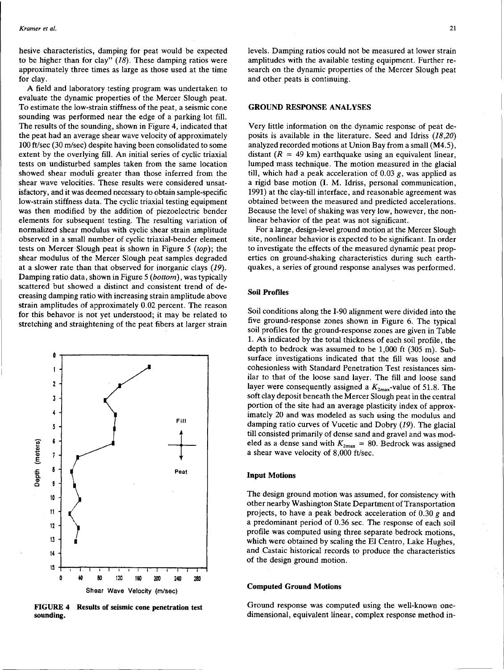hesive characteristics, damping for peat would be expected to be higher than for clay"  $(18)$ . These damping ratios were approximately three times as large as those used at the time for clay.

A field and laboratory testing program was undertaken to evaluate the dynamic properties of the Mercer Slough peat. To estimate the low-strain stiffness of the peat, a seismic cone sounding was performed near the edge of a parking lot fill. The results of the sounding, shown in Figure 4, indicated that the peat had an average shear wave velocity of approximately 100 ft/sec (30 m/sec) despite having been consolidated to some extent by the overlying fill. An initial series of cyclic triaxial tests on undisturbed samples taken from the same location showed shear moduli greater than those inferred from the shear wave velocities. These results were considered unsatisfactory, and it was deemed necessary to obtain sample-specific low-strain stiffness data. The cyclic triaxial testing equipment was then modified by the addition of piezoelectric bender elements for subsequent testing. The resulting variation of normalized shear modulus with cyclic shear strain amplitude observed in a small number of cyclic triaxial-bender element tests on Mercer-Slough peat is shown in Figure 5 *(top);* the shear modulus of the Mercer Slough peat samples degraded at a slower rate than that observed for inorganic clays (19). Damping ratio data, shown in Figure 5 *(bottom),* was typically scattered but showed a distinct and consistent trend of decreasing damping ratio with increasing strain amplitude above strain amplitudes of approximately 0.02 percent. The reason for this behavor is not yet understood; it may be related to stretching and straightening of the peat fibers at larger strain



FIGURE 4 Results of seismic cone penetration test sounding.

levels. Damping ratios could not be measured at lower strain amplitudes with the available testing equipment. Further research on the dynamic properties of the Mercer Slough peat and other peats is continuing.

## GROUND RESPONSE ANALYSES

Very little information on the dynamic response of peat deposits is available in the literature. Seed and Idriss (18,20) analyzed recorded motions at Union Bay from a small (M4.5), distant  $(R = 49 \text{ km})$  earthquake using an equivalent linear. lumped mass technique. The motion measured in the glacial till, which had a peak acceleration of  $0.03$  g, was applied as a rigid base motion (I. M. Idriss, personal communication, 1991) at the clay-till interface, and reasonable agreement was obtained between the measured and predicted accelerations. Because the level of shaking was very low, however, the nonlinear behavior of the peat was not significant.

For a large, design-level ground motion at the Mercer Slough site, nonlinear behavior is expected to be significant. In order to investigate the effects of the measured dynamic peat properties on ground-shaking characteristics during such earthquakes, a series of ground response analyses was performed.

## Soil Profiles

Soil conditions along the 1-90 alignment were divided into the five ground-response zones shown in Figure 6. The typical soil profiles for the ground-response zones are given in Table 1. As indicated by the total thickness of each soil profile, the depth to bedrock was assumed to be 1,000 ft (305 m). Subsurface investigations indicated that the fill was loose and cohesionless with Standard Penetration Test resistances similar to that of the loose sand layer. The fill and loose sand layer were consequently assigned a  $K_{2\text{max}}$ -value of 51.8. The soft clay deposit beneath the Mercer Slough peat in the central portion of the site had an average plasticity index of approximately 20 and was modeled as such using the modulus and damping ratio curves of Vucetic and Dobry (19). The glacial till consisted primarily of dense sand and gravel and was modeled as a dense sand with  $K_{2\text{max}} = 80$ . Bedrock was assigned a shear wave velocity of 8,000 ft/sec.

#### Input Motions

The design ground motion was assumed, for consistency with other nearby Washington State Department of Transportation projects, to have a peak bedrock acceleration of 0.30 *g* and a predominant period of 0.36 sec. The response of each soil profile was computed using three separate bedrock motions, which were obtained by scaling the El Centro, Lake Hughes, and Castaic historical records to produce the characteristics of the design ground motion.

#### Computed Ground Motions

Ground response was computed using the well-known onedimensional, equivalent linear, complex response method in-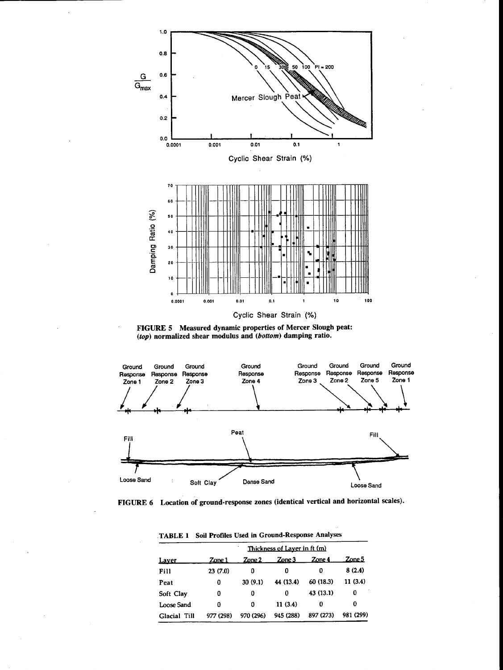

FIGURE 5 Measured dynamic properties of Mercer Slough peat: (top) normalized shear modulus and (bottom) damping ratio.



FIGURE 6 Location of ground-response zones (identical vertical and horizontal scales).

| <u>Laver</u> | Thickness of Layer in ft (m) |                  |           |           |           |  |  |
|--------------|------------------------------|------------------|-----------|-----------|-----------|--|--|
|              | Zone 1                       | $\mathsf{Zone2}$ | Zone 3    | Zone 4    | Zone 5    |  |  |
| Fill         | 23(7.0)                      | 0                | 0         | o         | 8(2.4)    |  |  |
| Peat         | 0                            | 30(9.1)          | 44 (13.4) | 60 (18.3) | 11(3.4)   |  |  |
| Soft Clay    | 0                            | 0                | o         | 43 (13.1) | 0         |  |  |
| Loose Sand   | 0                            | Ω                | 11(3.4)   | 0         | 0         |  |  |
| Glacial Till | 977 (298)                    | 970 (296)        | 945 (288) | 897 (273) | 981 (299) |  |  |

.TABLE 1 Soil Profiles Used in Ground-Response Analyses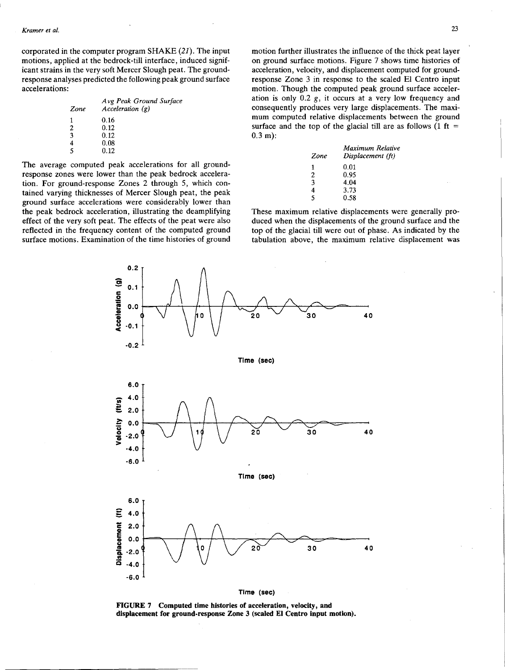corporated in the computer program SHAKE (21). The input motions, applied at the bedrock-till interface, induced significant strains in the very soft Mercer Slough peat. The groundresponse analyses predicted the following peak ground surface accelerations:

| Zone | Avg Peak Ground Surface<br>Acceleration $(g)$ |
|------|-----------------------------------------------|
| 1    | 0.16                                          |
| 2    | 0.12                                          |
| 3    | 0.12                                          |
|      | 0.08                                          |
| 5    | 0.12                                          |
|      |                                               |

The average computed peak accelerations for all groundresponse zones were lower than the peak bedrock acceleration. For ground-response Zones 2 through 5, which contained varying thicknesses of Mercer Slough peat, the peak ground surface accelerations were considerably lower than the peak bedrock acceleration, illustrating the deamplifying effect of the very soft peat. The effects of the peat were also reflected in the frequency content of the computed ground surface motions. Examination of the time histories of ground

0.2

 $\frac{6}{100}$  0.1<br>  $\frac{1}{2}$  0.0  $0.0$ 

motion further illustrates the influence of the thick peat layer on ground surface motions. Figure 7 shows time histories of acceleration, velocity, and displacement computed for groundresponse Zone 3 in response to the scaled El Centro input motion. Though the computed peak ground surface acceleration is only  $0.2$  g, it occurs at a very low frequency and consequently produces very large displacements. The maximum computed relative displacements between the ground surface and the top of the glacial till are as follows (1 ft  $=$ 0.3 m):

| Zone | Maximum Relative<br>Displacement (ft) |  |  |  |
|------|---------------------------------------|--|--|--|
| 1    | 0.01                                  |  |  |  |
| 2    | 0.95                                  |  |  |  |
| 3    | 4.04                                  |  |  |  |
| 4    | 3.73                                  |  |  |  |
| 5    | 0.58                                  |  |  |  |
|      |                                       |  |  |  |

These maximum relative displacements were generally produced when the displacements of the ground surface and the top of the glacial till were out of phase. As indicated by the tabulation above, the maximum relative displacement was



FIGURE 7 Computed time histories of acceleration, velocity, and displacement for ground-response Zone 3 (scaled El Centro input motion).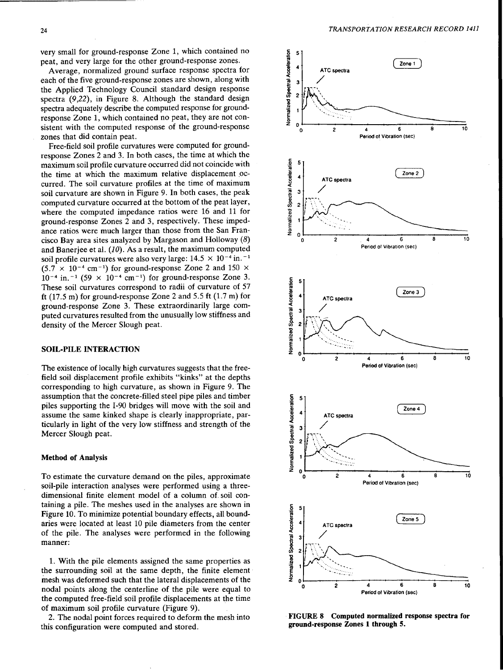very small for ground-response Zone 1, which contained no peat, and very large for the other ground-response zones.

Average, normalized ground surface response spectra for each of the five ground-response zones are shown, along with the Applied Technology Council standard design response spectra (9,22), in Figure 8. Although the standard design spectra adequately describe the computed response for groundresponse Zone 1, which contained no peat, they are not consistent with the computed response of the ground-response zones that did contain peat.

Free-field soil profile curvatures were computed for groundresponse Zones 2 and 3. In both cases, the time at which the maximum soil profile curvature occurred did not coincide with the time at which the maximum relative displacement occurred. The soil curvature profiles at the time of maximum soil curvature are shown in Figure 9. In both cases, the peak computed curvature occurred at the bottom of the peat layer, where the computed impedance ratios were 16 and 11 for ground-response Zones 2 and 3, respectively. These impedance ratios were much larger than those from the San Francisco Bay area sites analyzed by Margason and Holloway (8) and Banerjee et al. (10). As a result, the maximum computed soil profile curvatures were also very large:  $14.5 \times 10^{-4}$  in.<sup>-1</sup>  $(5.7 \times 10^{-4} \text{ cm}^{-1})$  for ground-response Zone 2 and 150  $\times$  $10^{-4}$  in.  $^{-1}$  (59 × 10<sup>-4</sup> cm<sup>-1</sup>) for ground-response Zone 3. These soil curvatures correspond to radii of curvature of 57 ft  $(17.5 \text{ m})$  for ground-response Zone 2 and 5.5 ft  $(1.7 \text{ m})$  for ground-response Zone 3. These extraordinarily large computed curvatures resulted from the unusually low stiffness and density of the Mercer Slough peat.

## SOIL-PILE INTERACTION

The existence of locally high curvatures suggests that the freefield soil displacement profile exhibits "kinks" at the depths corresponding to high curvature, as shown in Figure 9. The assumption that the concrete-filled steel pipe piles and timber piles supporting the I-90 bridges will move with the soil and assume the same kinked shape is clearly inappropriate, particularly in light of the very low stiffness and strength of the Mercer Slough peat.

#### Method of Analysis

To estimate the curvature demand on the piles, approximate soil-pile interaction analyses were performed using a threedimensional finite element model of a column of. soil containing a pile. The meshes used in the analyses are shown in Figure 10. To minimize potential boundary effects, all boundaries were located at least 10 pile diameters from the center of the pile. The analyses were performed in the following manner:

1. With the pile elements assigned the same properties as the surrounding soil at the same depth, the finite element· mesh was deformed such that the lateral displacements of the nodal points along the centerline of the pile were equal to the computed free-field soil profile displacements at the time of maximum soil profile curvature (Figure 9). .

2. The nodal point forces required to deform the mesh into this configuration were computed and stored.



FIGURE 8 Computed normalized response spectra for ground-response Zones 1 through 5.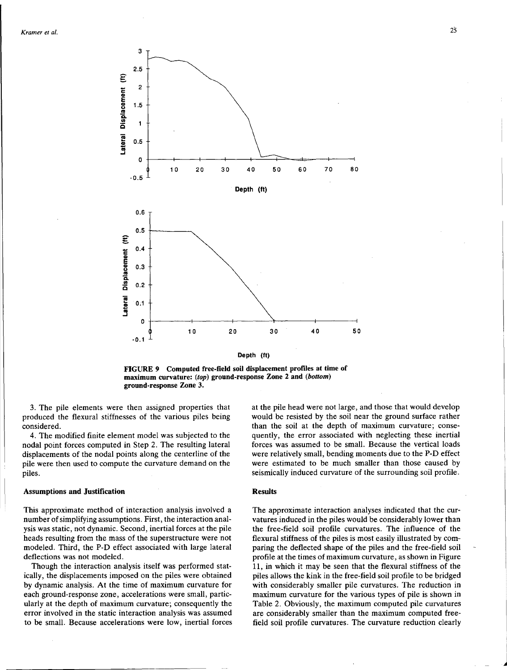



FIGURE 9 Computed free-field soil displacement profiles at time of maximum curvature: (top) ground-response Zone 2 and (bottom) ground-response Zone 3.

3. The pile elements were then assigned properties that produced the flexural stiffnesses of the various piles being considered.

4. The modified finite element model was subjected to the nodal point forces computed in Step 2. The resulting lateral displacements of the nodal points along the centerline of the pile were then used to compute the curvature demand on the piles.

#### Assumptions and Justification

This approximate method of interaction analysis involved a number of simplifying assumptions. First, the interaction analysis was static, not dynamic. Second, inertial forces at the pile heads resulting from the mass of the superstructure were not modeled. Third, the P-D effect associated with large lateral deflections was not modeled.

Though the interaction analysis itself was performed statically, the displacements imposed on the piles were obtained by dynamic analysis. At the time of maximum curvature for each ground-response zone, accelerations were small, particularly at the depth of maximum curvature; consequently the error involved in the static interaction analysis was assumed to be small. Because accelerations were low, inertial forces

at the pile head were not large, and those that would develop would be resisted by the soil near the ground surface rather than the soil at the depth of maximum curvature; consequently, the error associated with neglecting these inertial forces was assumed to be small. Because the vertical loads were relatively small, bending moments due to the P-D effect were estimated to be much smaller than those caused by seismically induced curvature of the surrounding soil profile.

#### **Results**

The approximate interaction analyses indicated that the curvatures induced in the piles would be considerably lower than the free-field soil profile curvatures. The influence of the flexural stiffness of the piles is most easily illustrated by comparing the deflected shape of the piles and the free-field soil profile at the times of maximum curvature, as shown in Figure 11, in which it may be seen that the flexural stiffness of the piles allows the kink in the free-field soil profile to be bridged with considerably smaller pile curvatures. The reduction in maximum curvature for the various types of pile is shown in Table 2. Obviously, the maximum computed pile curvatures are considerably smaller than the maximum computed freefield soil profile curvatures. The curvature reduction clearly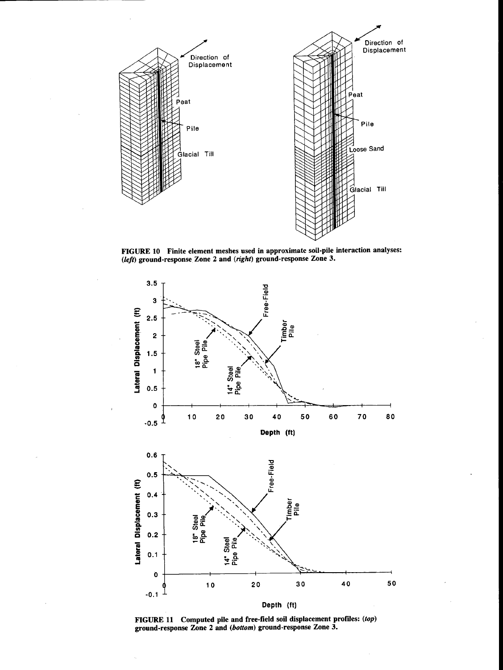

FIGURE 10 Finite element meshes used in approximate soil-pile interaction analyses: *(left)* ground-response Zone 2 and *(right)* ground-response Zone 3.



FIGURE 11 Computed pile and free-field soil displacement profiles: (top) ground-response Zone 2 and (bottom) ground-response Zone 3.